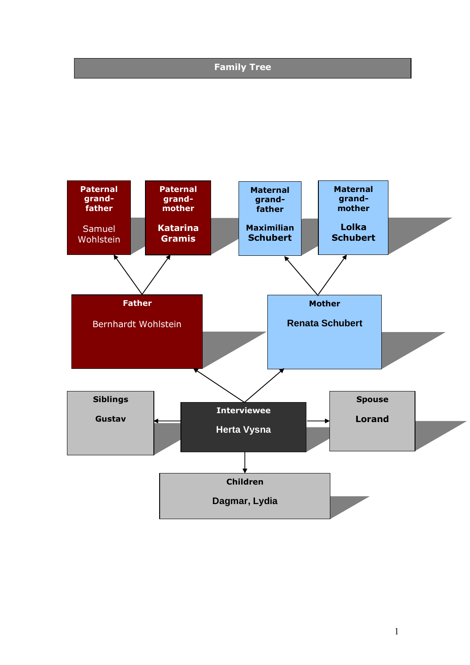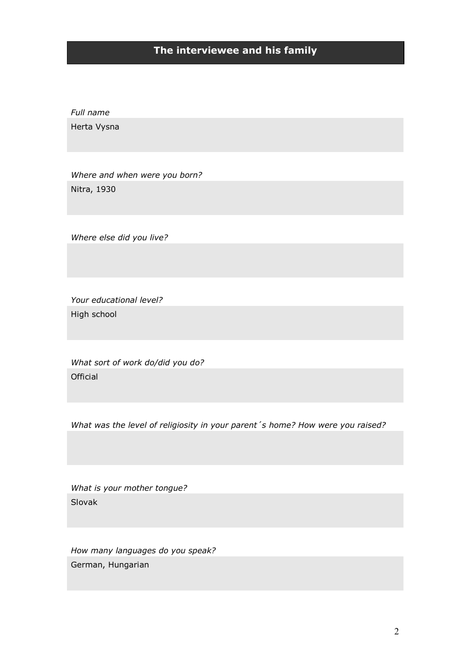# **The interviewee and his family**

*Full name* Herta Vysna

*Where and when were you born?* Nitra, 1930

*Where else did you live?*

*Your educational level?* High school

*What sort of work do/did you do?* Official

*What was the level of religiosity in your parent´s home? How were you raised?*

*What is your mother tongue?* Slovak

*How many languages do you speak?* German, Hungarian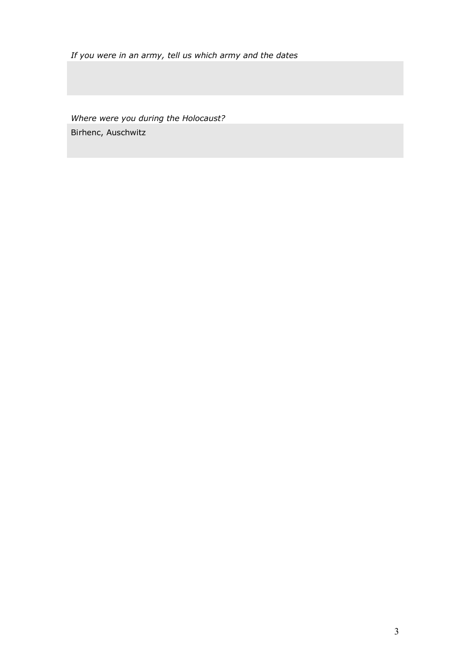*If you were in an army, tell us which army and the dates*

*Where were you during the Holocaust?* Birhenc, Auschwitz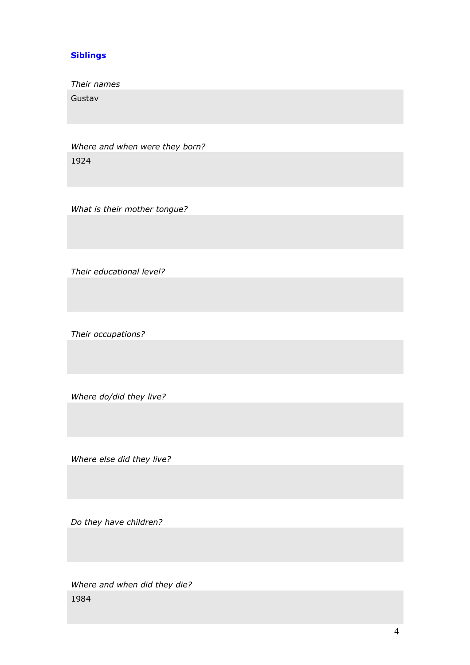#### **Siblings**

*Their names*

Gustav

*Where and when were they born?* 1924

*What is their mother tongue?*

*Their educational level?*

*Their occupations?*

*Where do/did they live?* 

*Where else did they live?*

*Do they have children?*

*Where and when did they die?* 1984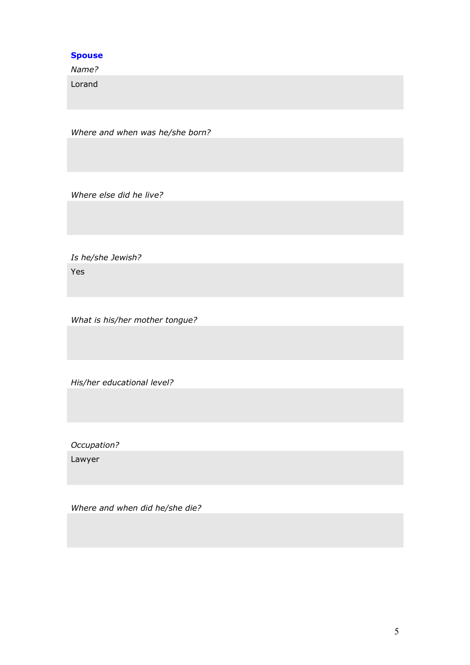#### **Spouse**

*Name?*

Lorand

*Where and when was he/she born?*

*Where else did he live?*

*Is he/she Jewish?* Yes

*What is his/her mother tongue?*

*His/her educational level?*

*Occupation?*

Lawyer

*Where and when did he/she die?*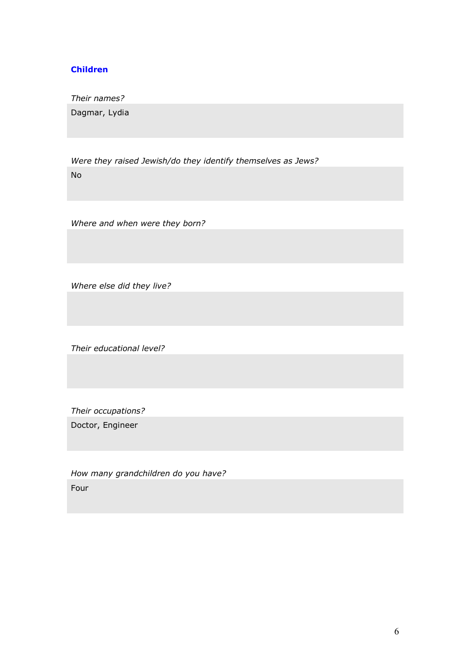#### **Children**

*Their names?*

Dagmar, Lydia

*Were they raised Jewish/do they identify themselves as Jews?* No

*Where and when were they born?*

*Where else did they live?*

*Their educational level?*

*Their occupations?*

Doctor, Engineer

*How many grandchildren do you have?* Four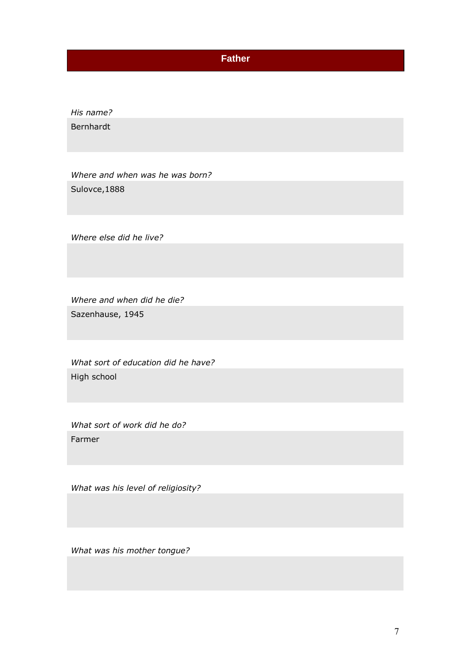### **Father**

*His name?* Bernhardt

*Where and when was he was born?* Sulovce,1888

*Where else did he live?*

*Where and when did he die?* Sazenhause, 1945

*What sort of education did he have?* High school

*What sort of work did he do?* Farmer

*What was his level of religiosity?* 

*What was his mother tongue?*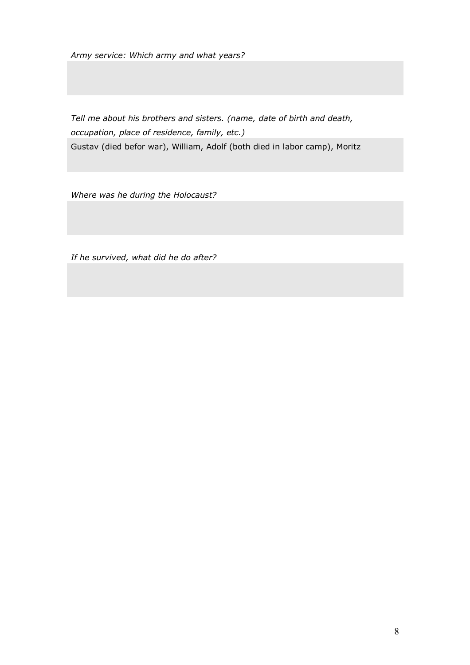*Army service: Which army and what years?*

*Tell me about his brothers and sisters. (name, date of birth and death, occupation, place of residence, family, etc.)* Gustav (died befor war), William, Adolf (both died in labor camp), Moritz

*Where was he during the Holocaust?*

*If he survived, what did he do after?*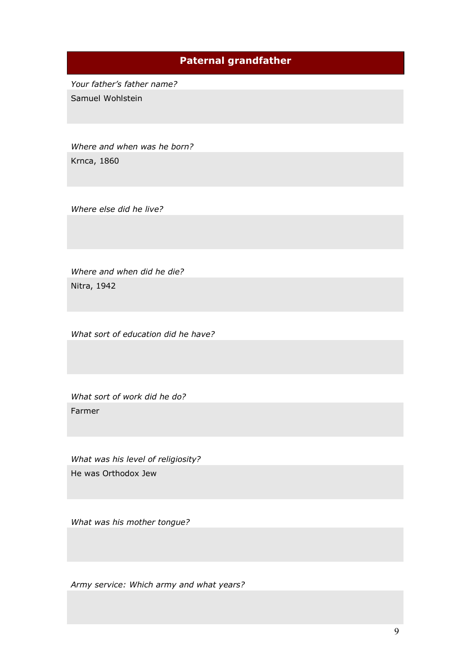## **Paternal grandfather**

*Your father's father name?*  Samuel Wohlstein

*Where and when was he born?* Krnca, 1860

*Where else did he live?*

*Where and when did he die?*  Nitra, 1942

*What sort of education did he have?*

*What sort of work did he do?* Farmer

*What was his level of religiosity?*  He was Orthodox Jew

*What was his mother tongue?* 

*Army service: Which army and what years?*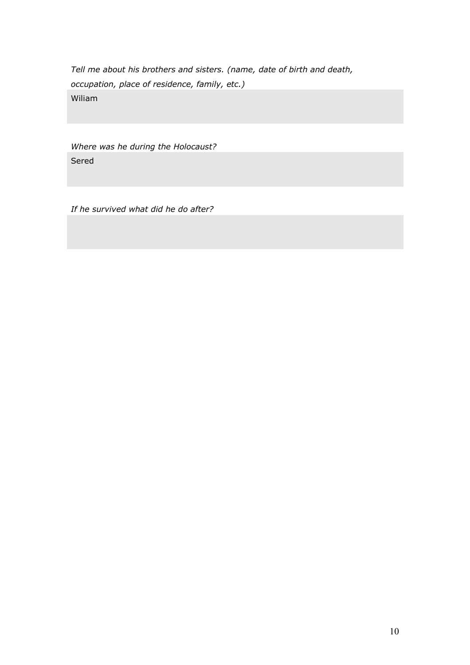*Tell me about his brothers and sisters. (name, date of birth and death, occupation, place of residence, family, etc.)* Wiliam

*Where was he during the Holocaust?* Sered

*If he survived what did he do after?*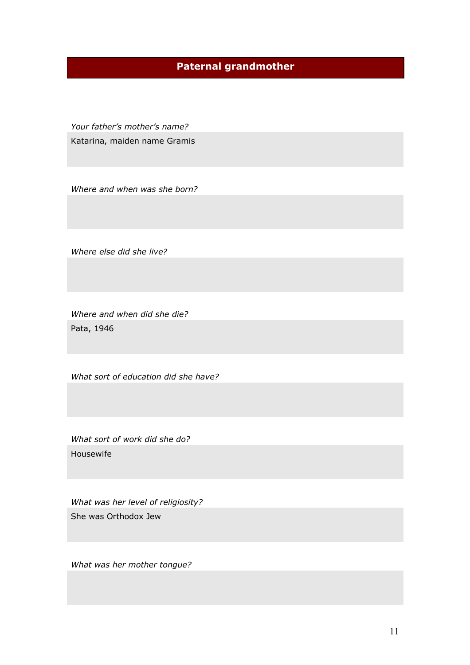# **Paternal grandmother**

*Your father's mother's name?* Katarina, maiden name Gramis

*Where and when was she born?* 

*Where else did she live?*

*Where and when did she die?* Pata, 1946

*What sort of education did she have?*

*What sort of work did she do?* Housewife

*What was her level of religiosity?*  She was Orthodox Jew

*What was her mother tongue?*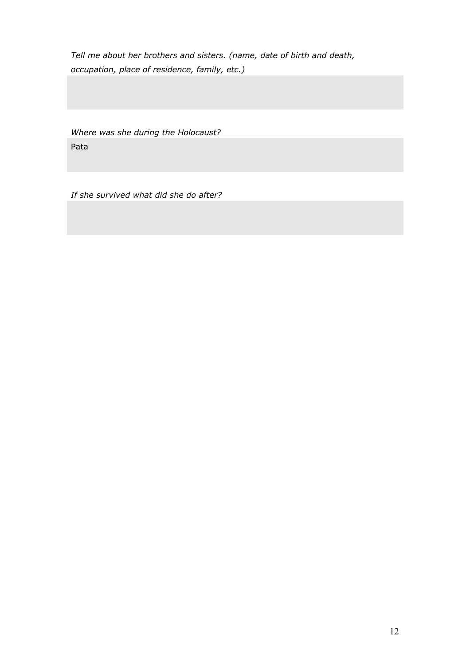*Tell me about her brothers and sisters. (name, date of birth and death, occupation, place of residence, family, etc.)*

*Where was she during the Holocaust?* Pata

*If she survived what did she do after?*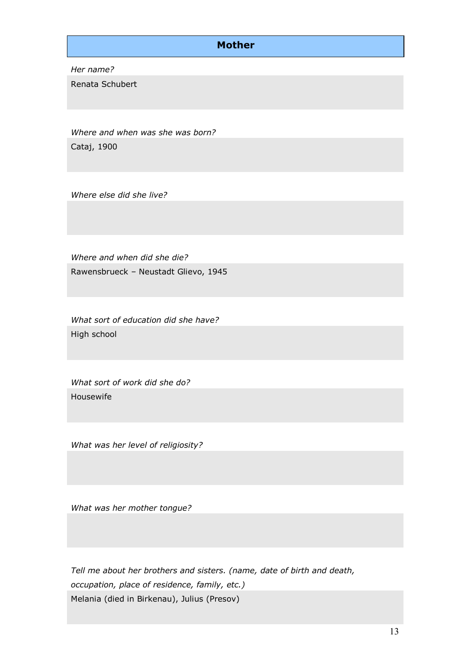### **Mother**

*Her name?*

Renata Schubert

*Where and when was she was born?* Cataj, 1900

*Where else did she live?*

*Where and when did she die?* Rawensbrueck – Neustadt Glievo, 1945

*What sort of education did she have?* High school

*What sort of work did she do?* Housewife

*What was her level of religiosity?* 

*What was her mother tongue?* 

*Tell me about her brothers and sisters. (name, date of birth and death, occupation, place of residence, family, etc.)* Melania (died in Birkenau), Julius (Presov)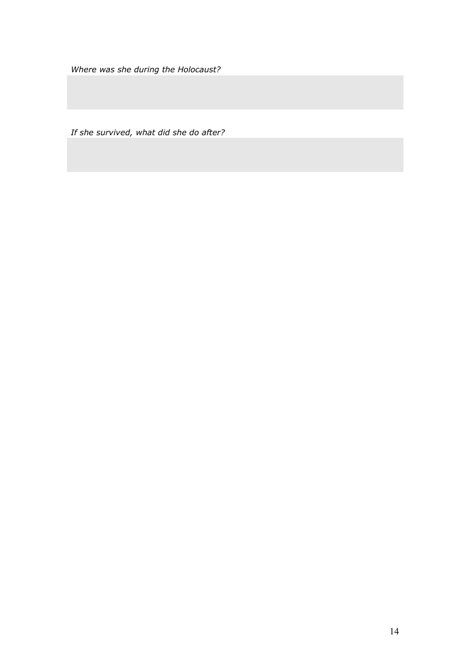*Where was she during the Holocaust?*

*If she survived, what did she do after?*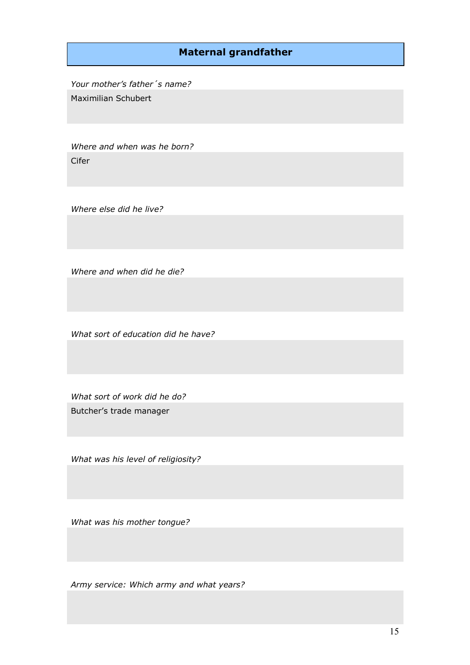### **Maternal grandfather**

*Your mother's father´s name?*  Maximilian Schubert

*Where and when was he born?* Cifer

*Where else did he live?*

*Where and when did he die?* 

*What sort of education did he have?*

*What sort of work did he do?* Butcher's trade manager

*What was his level of religiosity?* 

*What was his mother tongue?* 

*Army service: Which army and what years?*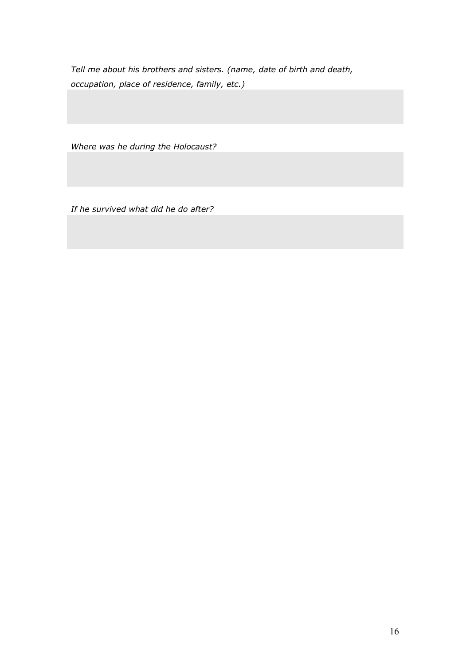*Tell me about his brothers and sisters. (name, date of birth and death, occupation, place of residence, family, etc.)*

*Where was he during the Holocaust?*

*If he survived what did he do after?*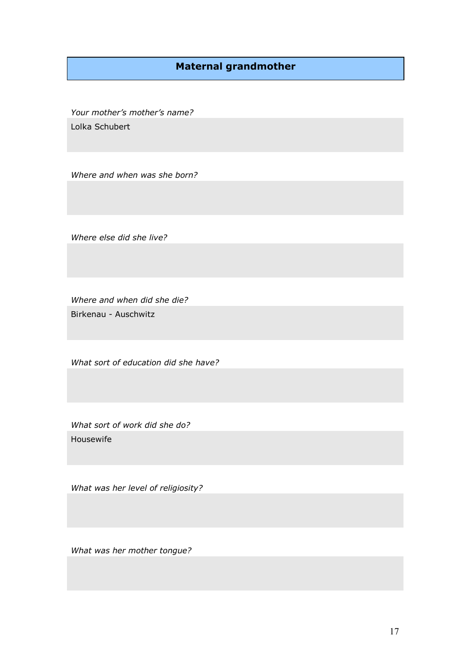## **Maternal grandmother**

*Your mother's mother's name?* Lolka Schubert

*Where and when was she born?*

*Where else did she live?*

*Where and when did she die?* Birkenau - Auschwitz

*What sort of education did she have?*

*What sort of work did she do?* Housewife

*What was her level of religiosity?* 

*What was her mother tongue?*